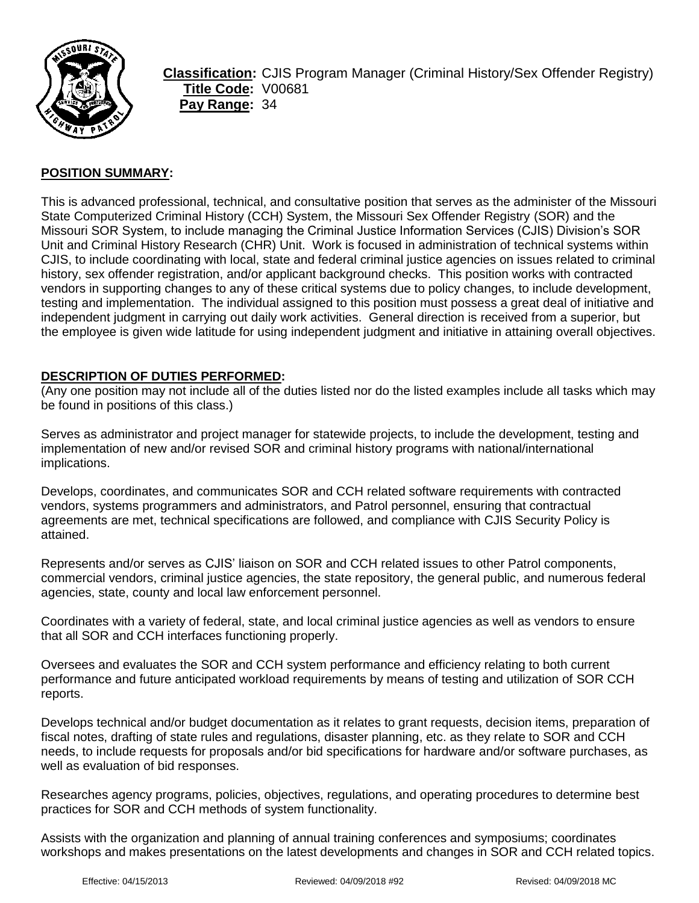

**Classification:** CJIS Program Manager (Criminal History/Sex Offender Registry) **Title Code:** V00681 **Pay Range:** 34

# **POSITION SUMMARY:**

This is advanced professional, technical, and consultative position that serves as the administer of the Missouri State Computerized Criminal History (CCH) System, the Missouri Sex Offender Registry (SOR) and the Missouri SOR System, to include managing the Criminal Justice Information Services (CJIS) Division's SOR Unit and Criminal History Research (CHR) Unit. Work is focused in administration of technical systems within CJIS, to include coordinating with local, state and federal criminal justice agencies on issues related to criminal history, sex offender registration, and/or applicant background checks. This position works with contracted vendors in supporting changes to any of these critical systems due to policy changes, to include development, testing and implementation. The individual assigned to this position must possess a great deal of initiative and independent judgment in carrying out daily work activities. General direction is received from a superior, but the employee is given wide latitude for using independent judgment and initiative in attaining overall objectives.

#### **DESCRIPTION OF DUTIES PERFORMED:**

(Any one position may not include all of the duties listed nor do the listed examples include all tasks which may be found in positions of this class.)

Serves as administrator and project manager for statewide projects, to include the development, testing and implementation of new and/or revised SOR and criminal history programs with national/international implications.

Develops, coordinates, and communicates SOR and CCH related software requirements with contracted vendors, systems programmers and administrators, and Patrol personnel, ensuring that contractual agreements are met, technical specifications are followed, and compliance with CJIS Security Policy is attained.

Represents and/or serves as CJIS' liaison on SOR and CCH related issues to other Patrol components, commercial vendors, criminal justice agencies, the state repository, the general public, and numerous federal agencies, state, county and local law enforcement personnel.

Coordinates with a variety of federal, state, and local criminal justice agencies as well as vendors to ensure that all SOR and CCH interfaces functioning properly.

Oversees and evaluates the SOR and CCH system performance and efficiency relating to both current performance and future anticipated workload requirements by means of testing and utilization of SOR CCH reports.

Develops technical and/or budget documentation as it relates to grant requests, decision items, preparation of fiscal notes, drafting of state rules and regulations, disaster planning, etc. as they relate to SOR and CCH needs, to include requests for proposals and/or bid specifications for hardware and/or software purchases, as well as evaluation of bid responses.

Researches agency programs, policies, objectives, regulations, and operating procedures to determine best practices for SOR and CCH methods of system functionality.

Assists with the organization and planning of annual training conferences and symposiums; coordinates workshops and makes presentations on the latest developments and changes in SOR and CCH related topics.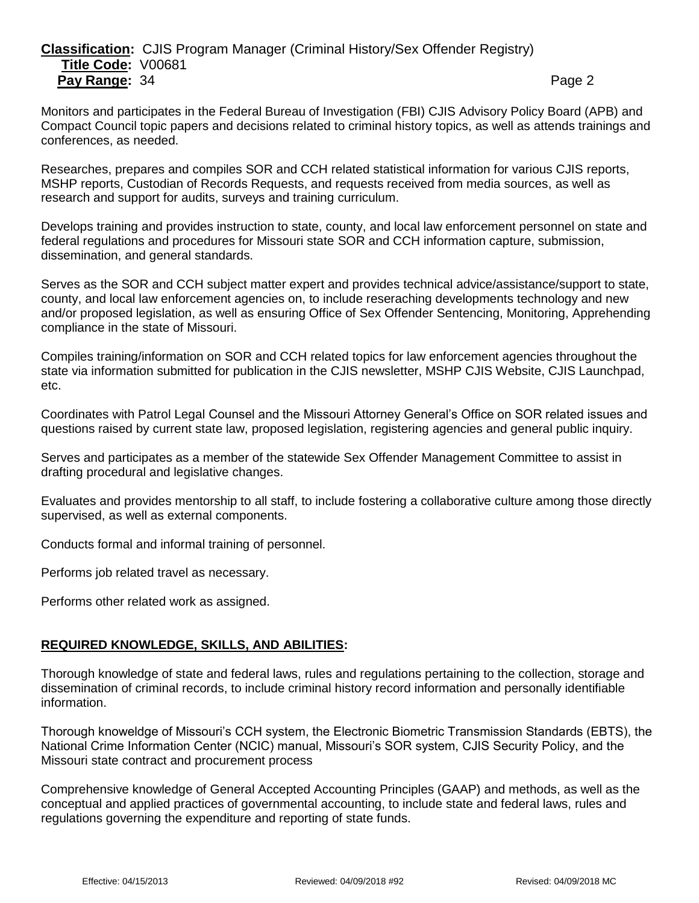# **Classification:** CJIS Program Manager (Criminal History/Sex Offender Registry) **Title Code:** V00681 **Pay Range:** 34 **Page 2** Page 2

Monitors and participates in the Federal Bureau of Investigation (FBI) CJIS Advisory Policy Board (APB) and Compact Council topic papers and decisions related to criminal history topics, as well as attends trainings and conferences, as needed.

Researches, prepares and compiles SOR and CCH related statistical information for various CJIS reports, MSHP reports, Custodian of Records Requests, and requests received from media sources, as well as research and support for audits, surveys and training curriculum.

Develops training and provides instruction to state, county, and local law enforcement personnel on state and federal regulations and procedures for Missouri state SOR and CCH information capture, submission, dissemination, and general standards.

Serves as the SOR and CCH subject matter expert and provides technical advice/assistance/support to state, county, and local law enforcement agencies on, to include reseraching developments technology and new and/or proposed legislation, as well as ensuring Office of Sex Offender Sentencing, Monitoring, Apprehending compliance in the state of Missouri.

Compiles training/information on SOR and CCH related topics for law enforcement agencies throughout the state via information submitted for publication in the CJIS newsletter, MSHP CJIS Website, CJIS Launchpad, etc.

Coordinates with Patrol Legal Counsel and the Missouri Attorney General's Office on SOR related issues and questions raised by current state law, proposed legislation, registering agencies and general public inquiry.

Serves and participates as a member of the statewide Sex Offender Management Committee to assist in drafting procedural and legislative changes.

Evaluates and provides mentorship to all staff, to include fostering a collaborative culture among those directly supervised, as well as external components.

Conducts formal and informal training of personnel.

Performs job related travel as necessary.

Performs other related work as assigned.

# **REQUIRED KNOWLEDGE, SKILLS, AND ABILITIES:**

Thorough knowledge of state and federal laws, rules and regulations pertaining to the collection, storage and dissemination of criminal records, to include criminal history record information and personally identifiable information.

Thorough knoweldge of Missouri's CCH system, the Electronic Biometric Transmission Standards (EBTS), the National Crime Information Center (NCIC) manual, Missouri's SOR system, CJIS Security Policy, and the Missouri state contract and procurement process

Comprehensive knowledge of General Accepted Accounting Principles (GAAP) and methods, as well as the conceptual and applied practices of governmental accounting, to include state and federal laws, rules and regulations governing the expenditure and reporting of state funds.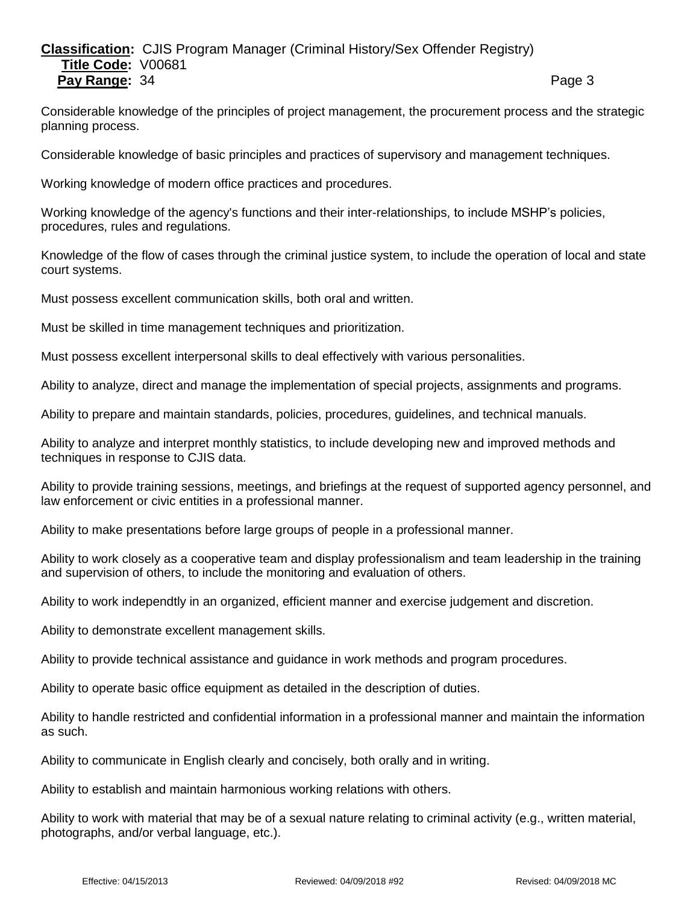# **Classification:** CJIS Program Manager (Criminal History/Sex Offender Registry) **Title Code:** V00681 **Pay Range:** 34 **Page 3** Page 3

Considerable knowledge of the principles of project management, the procurement process and the strategic planning process.

Considerable knowledge of basic principles and practices of supervisory and management techniques.

Working knowledge of modern office practices and procedures.

Working knowledge of the agency's functions and their inter-relationships, to include MSHP's policies, procedures, rules and regulations.

Knowledge of the flow of cases through the criminal justice system, to include the operation of local and state court systems.

Must possess excellent communication skills, both oral and written.

Must be skilled in time management techniques and prioritization.

Must possess excellent interpersonal skills to deal effectively with various personalities.

Ability to analyze, direct and manage the implementation of special projects, assignments and programs.

Ability to prepare and maintain standards, policies, procedures, guidelines, and technical manuals.

Ability to analyze and interpret monthly statistics, to include developing new and improved methods and techniques in response to CJIS data.

Ability to provide training sessions, meetings, and briefings at the request of supported agency personnel, and law enforcement or civic entities in a professional manner.

Ability to make presentations before large groups of people in a professional manner.

Ability to work closely as a cooperative team and display professionalism and team leadership in the training and supervision of others, to include the monitoring and evaluation of others.

Ability to work independtly in an organized, efficient manner and exercise judgement and discretion.

Ability to demonstrate excellent management skills.

Ability to provide technical assistance and guidance in work methods and program procedures.

Ability to operate basic office equipment as detailed in the description of duties.

Ability to handle restricted and confidential information in a professional manner and maintain the information as such.

Ability to communicate in English clearly and concisely, both orally and in writing.

Ability to establish and maintain harmonious working relations with others.

Ability to work with material that may be of a sexual nature relating to criminal activity (e.g., written material, photographs, and/or verbal language, etc.).